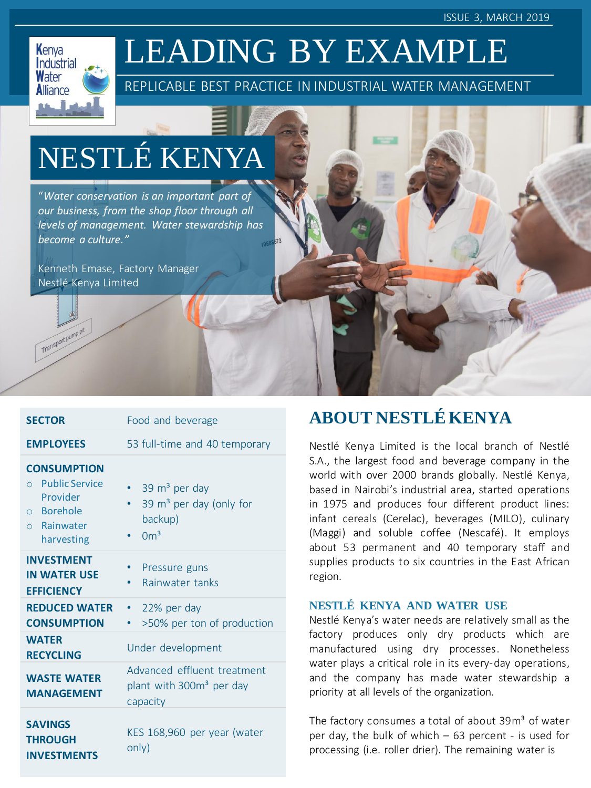ISSUE 3, MARCH 2019



Transport pump pit

# LEADING BY EXAMPLE

REPLICABLE BEST PRACTICE IN INDUSTRIAL WATER MANAGEMENT

# NESTLÉ KENYA

"*Water conservation is an important part of our business, from the shop floor through all levels of management. Water stewardship has become a culture."*

Kenneth Emase, Factory Manager Nestlé Kenya Limited

| <b>SECTOR</b>                                                                                                         | Food and beverage                                                                     |
|-----------------------------------------------------------------------------------------------------------------------|---------------------------------------------------------------------------------------|
| <b>EMPLOYEES</b>                                                                                                      | 53 full-time and 40 temporary                                                         |
| <b>CONSUMPTION</b><br><b>Public Service</b><br>$\bigcap$<br>Provider<br>o Borehole<br>$\circ$ Rainwater<br>harvesting | 39 m <sup>3</sup> per day<br>39 $m3$ per day (only for<br>backup)<br>$\rm \Omega m^3$ |
| <b>INVESTMENT</b><br><b>IN WATER USE</b><br><b>EFFICIENCY</b>                                                         | Pressure guns<br>Rainwater tanks<br>٠                                                 |
| <b>REDUCED WATER</b><br><b>CONSUMPTION</b>                                                                            | 22% per day<br>>50% per ton of production                                             |
| <b>WATER</b><br><b>RECYCLING</b>                                                                                      | Under development                                                                     |
| <b>WASTE WATER</b><br><b>MANAGEMENT</b>                                                                               | Advanced effluent treatment<br>plant with 300m <sup>3</sup> per day<br>capacity       |
| <b>SAVINGS</b><br><b>THROUGH</b><br><b>INVESTMENTS</b>                                                                | KES 168,960 per year (water<br>only)                                                  |

# **ABOUT NESTLÉKENYA**

Nestlé Kenya Limited is the local branch of Nestlé S.A., the largest food and beverage company in the world with over 2000 brands globally. Nestlé Kenya, based in Nairobi's industrial area, started operations in 1975 and produces four different product lines: infant cereals (Cerelac), beverages (MILO), culinary (Maggi) and soluble coffee (Nescafé). It employs about 53 permanent and 40 temporary staff and supplies products to six countries in the East African region.

#### **NESTLÉ KENYA AND WATER USE**

Nestlé Kenya's water needs are relatively small as the factory produces only dry products which are manufactured using dry processes. Nonetheless water plays a critical role in its every-day operations, and the company has made water stewardship a priority at all levels of the organization.

The factory consumes a total of about 39m<sup>3</sup> of water per day, the bulk of which – 63 percent - is used for processing (i.e. roller drier). The remaining water is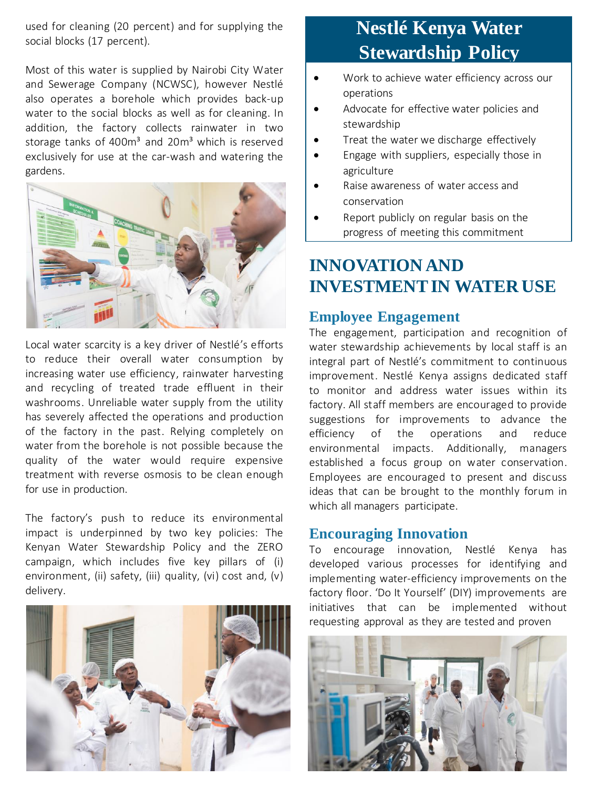used for cleaning (20 percent) and for supplying the social blocks (17 percent).

Most of this water is supplied by Nairobi City Water and Sewerage Company (NCWSC), however Nestlé also operates a borehole which provides back-up water to the social blocks as well as for cleaning. In addition, the factory collects rainwater in two storage tanks of 400m<sup>3</sup> and 20m<sup>3</sup> which is reserved exclusively for use at the car-wash and watering the gardens.



Local water scarcity is a key driver of Nestlé's efforts to reduce their overall water consumption by increasing water use efficiency, rainwater harvesting and recycling of treated trade effluent in their washrooms. Unreliable water supply from the utility has severely affected the operations and production of the factory in the past. Relying completely on water from the borehole is not possible because the quality of the water would require expensive treatment with reverse osmosis to be clean enough for use in production.

The factory's push to reduce its environmental impact is underpinned by two key policies: The Kenyan Water Stewardship Policy and the ZERO campaign, which includes five key pillars of (i) environment, (ii) safety, (iii) quality, (vi) cost and, (v) delivery.



# **Nestlé Kenya Water Stewardship Policy**

- Work to achieve water efficiency across our operations
- Advocate for effective water policies and stewardship
- Treat the water we discharge effectively
- Engage with suppliers, especially those in agriculture
- Raise awareness of water access and conservation
- Report publicly on regular basis on the progress of meeting this commitment

### **INNOVATION AND INVESTMENT IN WATER USE**

#### **Employee Engagement**

The engagement, participation and recognition of water stewardship achievements by local staff is an integral part of Nestlé's commitment to continuous improvement. Nestlé Kenya assigns dedicated staff to monitor and address water issues within its factory. All staff members are encouraged to provide suggestions for improvements to advance the efficiency of the operations and reduce environmental impacts. Additionally, managers established a focus group on water conservation. Employees are encouraged to present and discuss ideas that can be brought to the monthly forum in which all managers participate.

#### **Encouraging Innovation**

To encourage innovation, Nestlé Kenya has developed various processes for identifying and implementing water-efficiency improvements on the factory floor. 'Do It Yourself' (DIY) improvements are initiatives that can be implemented without requesting approval as they are tested and proven

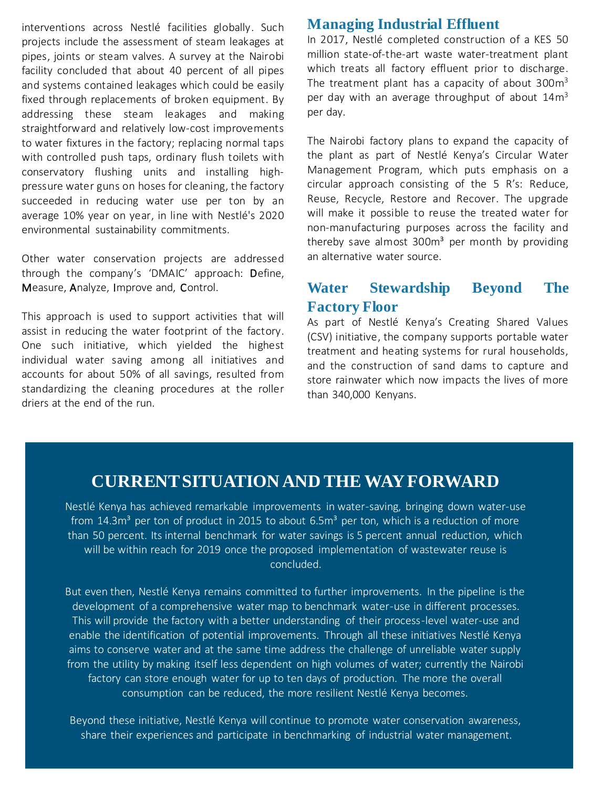interventions across Nestlé facilities globally. Such projects include the assessment of steam leakages at pipes, joints or steam valves. A survey at the Nairobi facility concluded that about 40 percent of all pipes and systems contained leakages which could be easily fixed through replacements of broken equipment. By addressing these steam leakages and making straightforward and relatively low-cost improvements to water fixtures in the factory; replacing normal taps with controlled push taps, ordinary flush toilets with conservatory flushing units and installing highpressure water guns on hoses for cleaning, the factory succeeded in reducing water use per ton by an average 10% year on year, in line with Nestlé's 2020 environmental sustainability commitments.

Other water conservation projects are addressed through the company's 'DMAIC' approach: Define, Measure, Analyze, Improve and, Control.

This approach is used to support activities that will assist in reducing the water footprint of the factory. One such initiative, which yielded the highest individual water saving among all initiatives and accounts for about 50% of all savings, resulted from standardizing the cleaning procedures at the roller driers at the end of the run.

#### **Managing Industrial Effluent**

In 2017, Nestlé completed construction of a KES 50 million state-of-the-art waste water-treatment plant which treats all factory effluent prior to discharge. The treatment plant has a capacity of about  $300m<sup>3</sup>$ per day with an average throughput of about 14m<sup>3</sup> per day.

The Nairobi factory plans to expand the capacity of the plant as part of Nestlé Kenya's Circular Water Management Program, which puts emphasis on a circular approach consisting of the 5 R's: Reduce, Reuse, Recycle, Restore and Recover. The upgrade will make it possible to reuse the treated water for non-manufacturing purposes across the facility and thereby save almost  $300m<sup>3</sup>$  per month by providing an alternative water source.

#### **Water Stewardship Beyond The Factory Floor**

As part of Nestlé Kenya's Creating Shared Values (CSV) initiative, the company supports portable water treatment and heating systems for rural households, and the construction of sand dams to capture and store rainwater which now impacts the lives of more than 340,000 Kenyans.

### **CURRENT SITUATION AND THE WAY FORWARD**

Nestlé Kenya has achieved remarkable improvements in water-saving, bringing down water-use from  $14.3\text{m}^3$  per ton of product in 2015 to about 6.5 $\text{m}^3$  per ton, which is a reduction of more than 50 percent. Its internal benchmark for water savings is 5 percent annual reduction, which will be within reach for 2019 once the proposed implementation of wastewater reuse is concluded.

But even then, Nestlé Kenya remains committed to further improvements. In the pipeline is the development of a comprehensive water map to benchmark water-use in different processes. This will provide the factory with a better understanding of their process-level water-use and enable the identification of potential improvements. Through all these initiatives Nestlé Kenya aims to conserve water and at the same time address the challenge of unreliable water supply from the utility by making itself less dependent on high volumes of water; currently the Nairobi factory can store enough water for up to ten days of production. The more the overall consumption can be reduced, the more resilient Nestlé Kenya becomes.

Beyond these initiative, Nestlé Kenya will continue to promote water conservation awareness, share their experiences and participate in benchmarking of industrial water management.